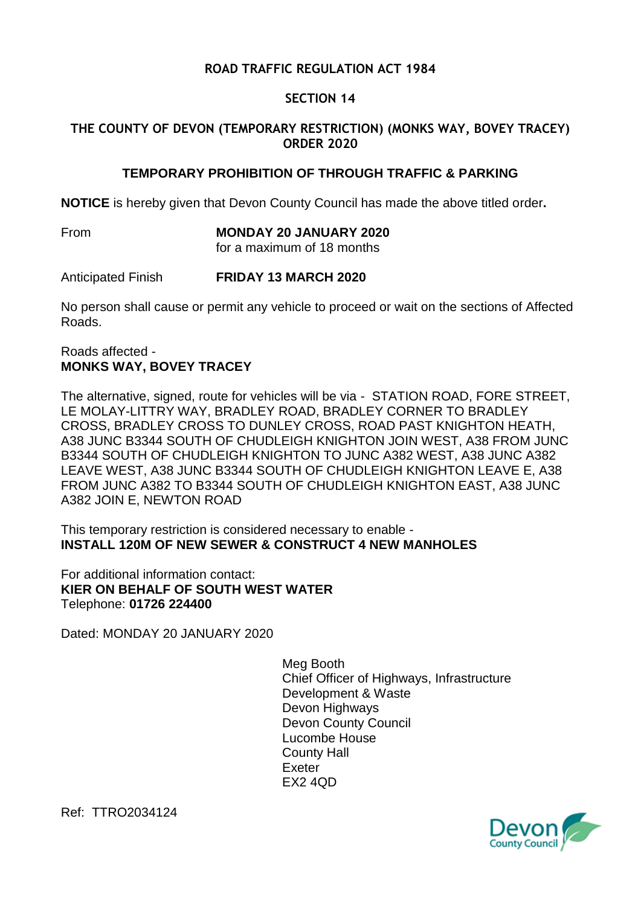# **ROAD TRAFFIC REGULATION ACT 1984**

## **SECTION 14**

## **THE COUNTY OF DEVON (TEMPORARY RESTRICTION) (MONKS WAY, BOVEY TRACEY) ORDER 2020**

#### **TEMPORARY PROHIBITION OF THROUGH TRAFFIC & PARKING**

**NOTICE** is hereby given that Devon County Council has made the above titled order**.**

From **MONDAY 20 JANUARY 2020**

for a maximum of 18 months

Anticipated Finish **FRIDAY 13 MARCH 2020**

No person shall cause or permit any vehicle to proceed or wait on the sections of Affected Roads.

#### Roads affected - **MONKS WAY, BOVEY TRACEY**

The alternative, signed, route for vehicles will be via - STATION ROAD, FORE STREET, LE MOLAY-LITTRY WAY, BRADLEY ROAD, BRADLEY CORNER TO BRADLEY CROSS, BRADLEY CROSS TO DUNLEY CROSS, ROAD PAST KNIGHTON HEATH, A38 JUNC B3344 SOUTH OF CHUDLEIGH KNIGHTON JOIN WEST, A38 FROM JUNC B3344 SOUTH OF CHUDLEIGH KNIGHTON TO JUNC A382 WEST, A38 JUNC A382 LEAVE WEST, A38 JUNC B3344 SOUTH OF CHUDLEIGH KNIGHTON LEAVE E, A38 FROM JUNC A382 TO B3344 SOUTH OF CHUDLEIGH KNIGHTON EAST, A38 JUNC A382 JOIN E, NEWTON ROAD

This temporary restriction is considered necessary to enable - **INSTALL 120M OF NEW SEWER & CONSTRUCT 4 NEW MANHOLES**

For additional information contact: **KIER ON BEHALF OF SOUTH WEST WATER** Telephone: **01726 224400**

Dated: MONDAY 20 JANUARY 2020

Meg Booth Chief Officer of Highways, Infrastructure Development & Waste Devon Highways Devon County Council Lucombe House County Hall Exeter EX2 4QD